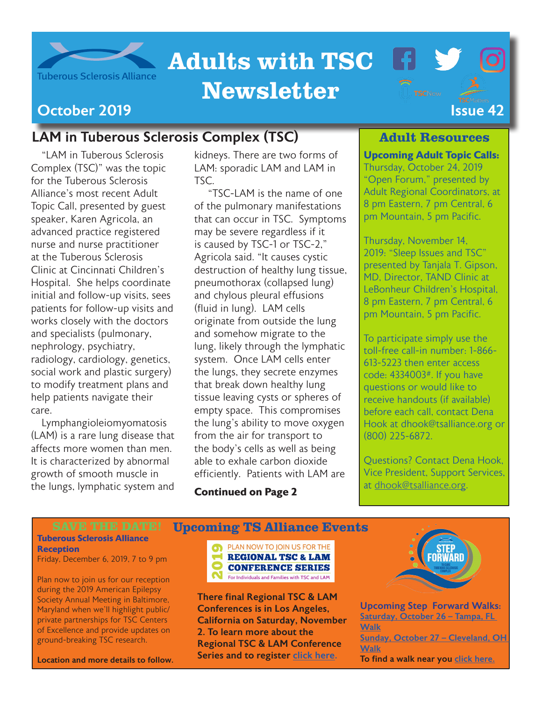

# Adults with TSC

# Newsletter



### October 2019 I[ssue 4](https://www.tsalliance.org/tsc-matters/)2

## LAM in Tuberous Sclerosis Complex (TSC)

"LAM in Tuberous Sclerosis Complex (TSC)" was the topic for the Tuberous Sclerosis Alliance's most recent Adult Topic Call, presented by guest speaker, Karen Agricola, an advanced practice registered nurse and nurse practitioner at the Tuberous Sclerosis Clinic at Cincinnati Children's Hospital. She helps coordinate initial and follow-up visits, sees patients for follow-up visits and works closely with the doctors and specialists (pulmonary, nephrology, psychiatry, radiology, cardiology, genetics, social work and plastic surgery) to modify treatment plans and help patients navigate their care.

Lymphangioleiomyomatosis (LAM) is a rare lung disease that affects more women than men. It is characterized by abnormal growth of smooth muscle in the lungs, lymphatic system and

kidneys. There are two forms of LAM: sporadic LAM and LAM in TSC.

 "TSC-LAM is the name of one of the pulmonary manifestations that can occur in TSC. Symptoms may be severe regardless if it is caused by TSC-1 or TSC-2," Agricola said. "It causes cystic destruction of healthy lung tissue, pneumothorax (collapsed lung) and chylous pleural effusions (fluid in lung). LAM cells originate from outside the lung and somehow migrate to the lung, likely through the lymphatic system. Once LAM cells enter the lungs, they secrete enzymes that break down healthy lung tissue leaving cysts or spheres of empty space. This compromises the lung's ability to move oxygen from the air for transport to the body's cells as well as being able to exhale carbon dioxide efficiently. Patients with LAM are

**Continued on Page 2**

#### Adult Resources

 $\blacksquare$ 

**Upcoming Adult Topic Calls:** Thursday, October 24, 2019 "Open Forum," presented by Adult Regional Coordinators, at 8 pm Eastern, 7 pm Central, 6 pm Mountain, 5 pm Pacific.

Thursday, November 14, 2019: "Sleep Issues and TSC" presented by Tanjala T. Gipson, MD, Director, TAND Clinic at LeBonheur Children's Hospital, 8 pm Eastern, 7 pm Central, 6 pm Mountain, 5 pm Pacific.

To participate simply use the toll-free call-in number: 1-866- 613-5223 then enter access code: 4334003#. If you have questions or would like to receive handouts (if available) before each call, contact Dena Hook at dhook@tsalliance.org or (800) 225-6872.

Questions? Contact Dena Hook, Vice President, Support Services, at [dhook@tsalliance.org.](mailto:dhook%40tsalliance.org?subject=)

#### **Tuberous Sclerosis Alliance Reception** Friday, December 6, 2019, 7 to 9 pm

Plan now to join us for our reception during the 2019 American Epilepsy Society Annual Meeting in Baltimore, Maryland when we'll highlight public/ private partnerships for TSC Centers of Excellence and provide updates on ground-breaking TSC research.

Location and more details to follow.



Upcoming TS Alliance Events

There final Regional TSC & LAM Conferences is in Los Angeles, California on Saturday, November 2. To learn more about the Regional TSC & LAM Conference Series and to register [click here](https://www.thelamfoundation.org/2019-TSC-LAM).



Upcoming Step Forward Walks: [Saturday, October 26 – Tampa, FL](http://giving.tsalliance.org/site/TR?fr_id=1608&pg=entry)  **[Walk](http://giving.tsalliance.org/site/TR?fr_id=1608&pg=entry)** [Sunday, October 27 – Cleveland, OH](http://giving.tsalliance.org/site/TR?fr_id=1587&pg=entry)  [Walk](http://giving.tsalliance.org/site/TR?fr_id=1587&pg=entry) To find a walk near you [click here.](http://giving.tsalliance.org/site/PageServer?pagename=Step17_Home.html)